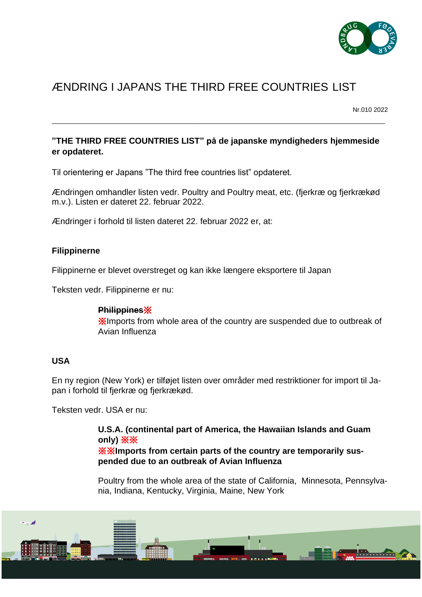

# ÆNDRING I JAPANS THE THIRD FREE COUNTRIES LIST

Nr.010 2022

## **"THE THIRD FREE COUNTRIES LIST" på de japanske myndigheders hjemmeside er opdateret.**

\_\_\_\_\_\_\_\_\_\_\_\_\_\_\_\_\_\_\_\_\_\_\_\_\_\_\_\_\_\_\_\_\_\_\_\_\_\_\_\_\_\_\_\_\_\_\_\_\_\_\_\_\_\_\_\_\_\_\_\_\_\_\_\_\_\_\_\_\_\_\_\_\_\_\_\_\_\_\_\_\_\_\_\_\_\_\_\_\_\_\_\_\_\_

Til orientering er Japans "The third free countries list" opdateret.

Ændringen omhandler listen vedr. Poultry and Poultry meat, etc. (fjerkræ og fjerkrækød m.v.). Listen er dateret 22. februar 2022.

Ændringer i forhold til listen dateret 22. februar 2022 er, at:

### **Filippinerne**

Filippinerne er blevet overstreget og kan ikke længere eksportere til Japan

Teksten vedr. Filippinerne er nu:

### **Philippines**※

※Imports from whole area of the country are suspended due to outbreak of Avian Influenza

### **USA**

En ny region (New York) er tilføjet listen over områder med restriktioner for import til Japan i forhold til fjerkræ og fjerkrækød.

Teksten vedr. USA er nu:

**U.S.A. (continental part of America, the Hawaiian Islands and Guam only)** ※※ ※※**Imports from certain parts of the country are temporarily suspended due to an outbreak of Avian Influenza**

Poultry from the whole area of the state of California, Minnesota, Pennsylvania, Indiana, Kentucky, Virginia, Maine, New York